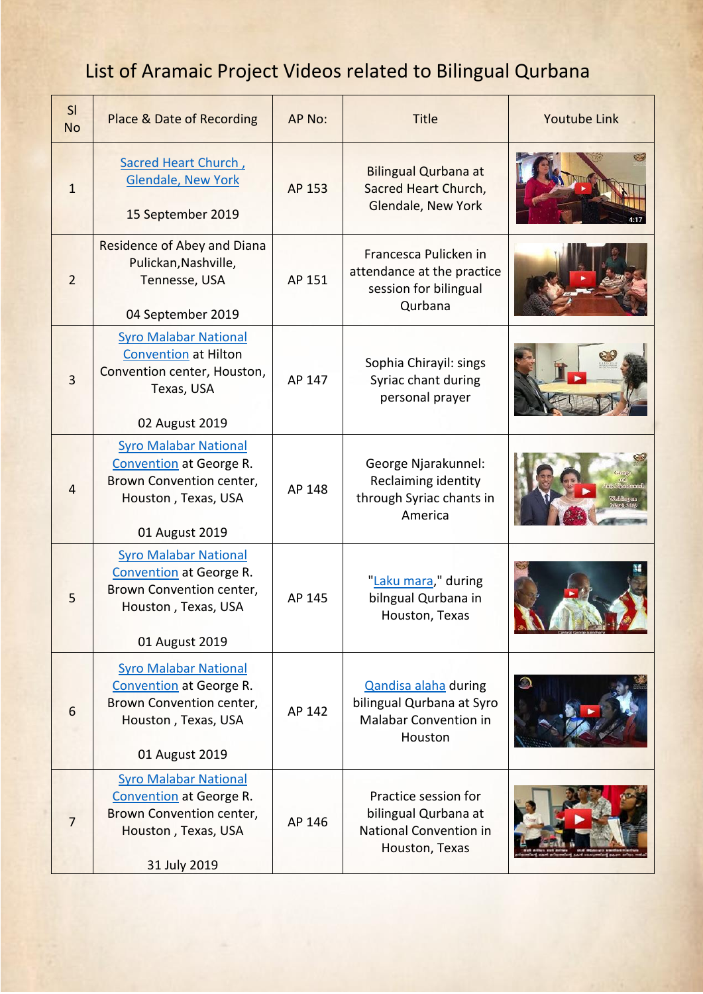## List of Aramaic Project Videos related to Bilingual Qurbana

| SI<br><b>No</b> | Place & Date of Recording                                                                                                           | AP No: | <b>Title</b>                                                                                    | <b>Youtube Link</b> |
|-----------------|-------------------------------------------------------------------------------------------------------------------------------------|--------|-------------------------------------------------------------------------------------------------|---------------------|
| $\mathbf{1}$    | Sacred Heart Church,<br><b>Glendale, New York</b><br>15 September 2019                                                              | AP 153 | <b>Bilingual Qurbana at</b><br>Sacred Heart Church,<br>Glendale, New York                       |                     |
| $\overline{2}$  | Residence of Abey and Diana<br>Pulickan, Nashville,<br>Tennesse, USA<br>04 September 2019                                           | AP 151 | Francesca Pulicken in<br>attendance at the practice<br>session for bilingual<br>Qurbana         |                     |
| 3               | <b>Syro Malabar National</b><br><b>Convention at Hilton</b><br>Convention center, Houston,<br>Texas, USA<br>02 August 2019          | AP 147 | Sophia Chirayil: sings<br>Syriac chant during<br>personal prayer                                |                     |
| $\overline{4}$  | <b>Syro Malabar National</b><br><b>Convention</b> at George R.<br>Brown Convention center,<br>Houston, Texas, USA<br>01 August 2019 | AP 148 | George Njarakunnel:<br>Reclaiming identity<br>through Syriac chants in<br>America               |                     |
| 5               | <b>Syro Malabar National</b><br><b>Convention</b> at George R.<br>Brown Convention center,<br>Houston, Texas, USA<br>01 August 2019 | AP 145 | "Laku mara," during<br>bilngual Qurbana in<br>Houston, Texas                                    |                     |
| 6               | <b>Syro Malabar National</b><br><b>Convention</b> at George R.<br>Brown Convention center,<br>Houston, Texas, USA<br>01 August 2019 | AP 142 | Qandisa alaha during<br>bilingual Qurbana at Syro<br>Malabar Convention in<br>Houston           |                     |
| $\overline{7}$  | <b>Syro Malabar National</b><br><b>Convention</b> at George R.<br>Brown Convention center,<br>Houston, Texas, USA<br>31 July 2019   | AP 146 | Practice session for<br>bilingual Qurbana at<br><b>National Convention in</b><br>Houston, Texas |                     |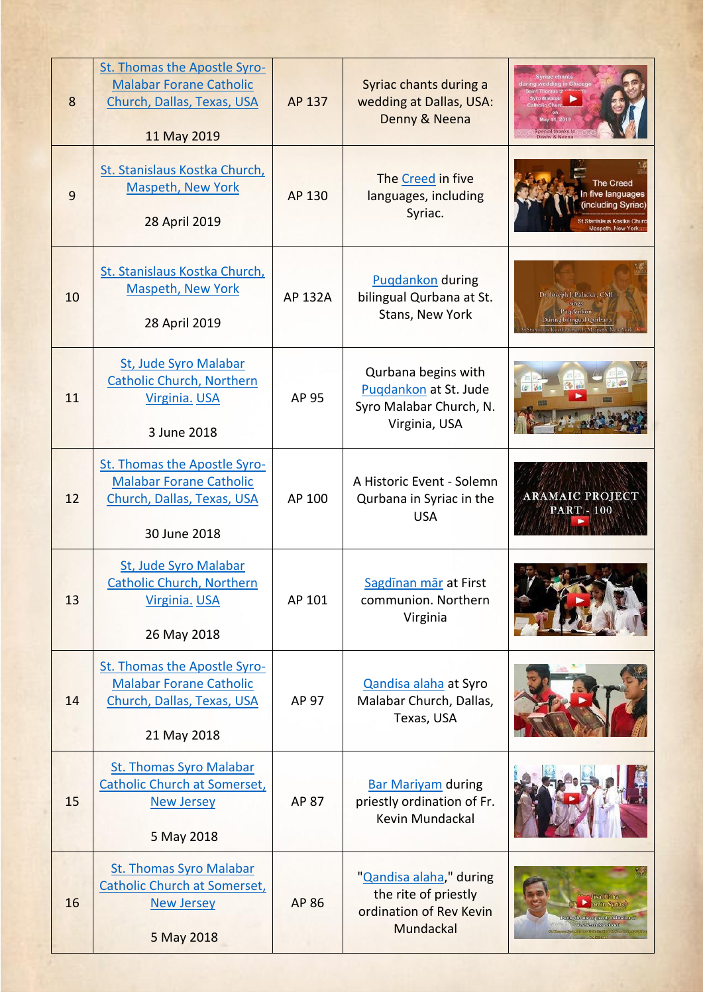| 8  | St. Thomas the Apostle Syro-<br><b>Malabar Forane Catholic</b><br>Church, Dallas, Texas, USA<br>11 May 2019  | AP 137       | Syriac chants during a<br>wedding at Dallas, USA:<br>Denny & Neena                       | ring wedding in Chicago<br>al thanks to                                                                            |
|----|--------------------------------------------------------------------------------------------------------------|--------------|------------------------------------------------------------------------------------------|--------------------------------------------------------------------------------------------------------------------|
| 9  | St. Stanislaus Kostka Church,<br><b>Maspeth, New York</b><br>28 April 2019                                   | AP 130       | The Creed in five<br>languages, including<br>Syriac.                                     | <b>The Creed</b><br>In five languages<br>(including Svriac)                                                        |
| 10 | St. Stanislaus Kostka Church,<br><b>Maspeth, New York</b><br>28 April 2019                                   | AP 132A      | <b>Pugdankon</b> during<br>bilingual Qurbana at St.<br>Stans, New York                   | Dr. Joseph J. Palackal, CMI<br>sings<br>Puqdankon'.<br>During bilingual Qurbana<br>slaus Kostka@hurch, Maspeth, No |
| 11 | St, Jude Syro Malabar<br><b>Catholic Church, Northern</b><br>Virginia. USA<br>3 June 2018                    | AP 95        | Qurbana begins with<br>Pugdankon at St. Jude<br>Syro Malabar Church, N.<br>Virginia, USA |                                                                                                                    |
| 12 | St. Thomas the Apostle Syro-<br><b>Malabar Forane Catholic</b><br>Church, Dallas, Texas, USA<br>30 June 2018 | AP 100       | A Historic Event - Solemn<br>Qurbana in Syriac in the<br><b>USA</b>                      | <b>ARAMAIC PROJECT</b><br><b>PART - 100</b>                                                                        |
| 13 | <b>St, Jude Syro Malabar</b><br><b>Catholic Church, Northern</b><br>Virginia. USA<br>26 May 2018             | AP 101       | Sagdinan mär at First<br>communion. Northern<br>Virginia                                 |                                                                                                                    |
| 14 | St. Thomas the Apostle Syro-<br><b>Malabar Forane Catholic</b><br>Church, Dallas, Texas, USA<br>21 May 2018  | AP 97        | Qandisa alaha at Syro<br>Malabar Church, Dallas,<br>Texas, USA                           |                                                                                                                    |
| 15 | <b>St. Thomas Syro Malabar</b><br>Catholic Church at Somerset,<br><b>New Jersey</b><br>5 May 2018            | <b>AP 87</b> | <b>Bar Mariyam during</b><br>priestly ordination of Fr.<br>Kevin Mundackal               |                                                                                                                    |
| 16 | <b>St. Thomas Syro Malabar</b><br><b>Catholic Church at Somerset,</b><br><b>New Jersey</b><br>5 May 2018     | AP 86        | "Qandisa alaha," during<br>the rite of priestly<br>ordination of Rev Kevin<br>Mundackal  | on in Syriacl<br>ring the rite of priestly ordination of<br>Resilverington factof                                  |